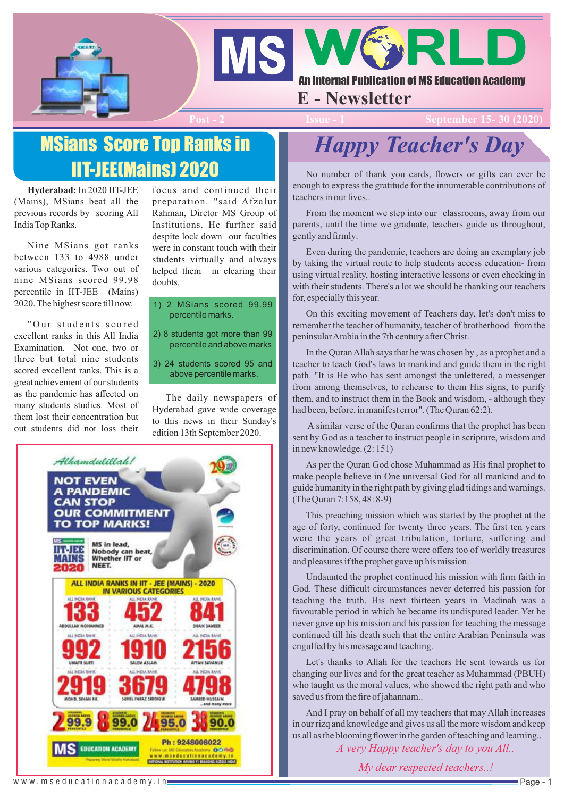



## **E - Newsletter**

**Post - 2 Issue - 2 Issue - 2 Issue - 2 Issue - 2 Issue - 2 Issue - 2 Issue - 2 Issue - 2 Issue - 2 Issue - 2 I** 

# MSians Score Top Ranks in IIT-JEE(Mains) 2020

**Hyderabad:** In 2020 IIT-JEE (Mains), MSians beat all the previous records by scoring All India Top Ranks.

Nine MSians got ranks between 133 to 4988 under various categories. Two out of nine MSians scored 99.98 percentile in IIT-JEE (Mains) 2020. The highest score till now.

"Our students scored excellent ranks in this All India Examination. Not one, two or three but total nine students scored excellent ranks. This is a great achievement of our students as the pandemic has affected on many students studies. Most of them lost their concentration but out students did not loss their focus and continued their preparation. "said Afzalur Rahman, Diretor MS Group of Institutions. He further said despite lock down our faculties were in constant touch with their students virtually and always helped them in clearing their doubts.

- 1) 2 MSians scored 99.99 percentile marks.
- 2) 8 students got more than 99 percentile and above marks
- 3) 24 students scored 95 and above percentile marks.

The daily newspapers of Hyderabad gave wide coverage to this news in their Sunday's edition 13th September 2020.



# *Happy Teacher's Day*

No number of thank you cards, flowers or gifts can ever be enough to express the gratitude for the innumerable contributions of teachers in our lives..

From the moment we step into our classrooms, away from our parents, until the time we graduate, teachers guide us throughout, gently and firmly.

Even during the pandemic, teachers are doing an exemplary job by taking the virtual route to help students access education- from using virtual reality, hosting interactive lessons or even checking in with their students. There's a lot we should be thanking our teachers for, especially this year.

On this exciting movement of Teachers day, let's don't miss to remember the teacher of humanity, teacher of brotherhood from the peninsular Arabia in the 7th century after Christ.

In the Quran Allah says that he was chosen by , as a prophet and a teacher to teach God's laws to mankind and guide them in the right path. "It is He who has sent amongst the unlettered, a messenger from among themselves, to rehearse to them His signs, to purify them, and to instruct them in the Book and wisdom, - although they had been, before, in manifest error". (The Quran 62:2).

A similar verse of the Quran confirms that the prophet has been sent by God as a teacher to instruct people in scripture, wisdom and in new knowledge. (2: 151)

As per the Quran God chose Muhammad as His final prophet to make people believe in One universal God for all mankind and to guide humanity in the right path by giving glad tidings and warnings. (The Quran 7:158, 48: 8-9)

This preaching mission which was started by the prophet at the age of forty, continued for twenty three years. The first ten years were the years of great tribulation, torture, suffering and discrimination. Of course there were offers too of worldly treasures and pleasures if the prophet gave up his mission.

Undaunted the prophet continued his mission with firm faith in God. These difficult circumstances never deterred his passion for teaching the truth. His next thirteen years in Madinah was a favourable period in which he became its undisputed leader. Yet he never gave up his mission and his passion for teaching the message continued till his death such that the entire Arabian Peninsula was engulfed by his message and teaching.

Let's thanks to Allah for the teachers He sent towards us for changing our lives and for the great teacher as Muhammad (PBUH) who taught us the moral values, who showed the right path and who saved us from the fire of jahannam..

And I pray on behalf of all my teachers that may Allah increases in our rizq and knowledge and gives us all the more wisdom and keep us all as the blooming flower in the garden of teaching and learning..

*A very Happy teacher's day to you All..*

*My dear respected teachers..!*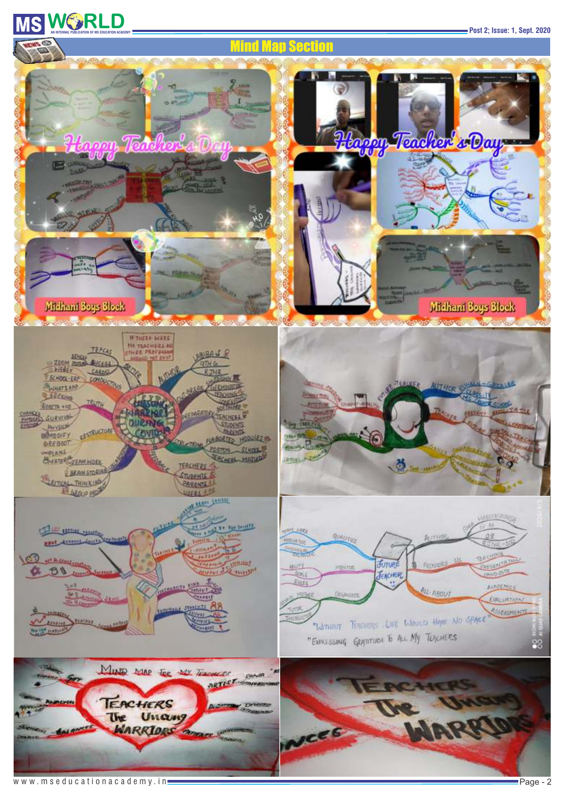# **WISHERLD**<br>AN INTERNAL PUBLICATION OF MS EDUCATION ACADEMY<br>
POST 2; ISSUe: 1, Sept. 2020

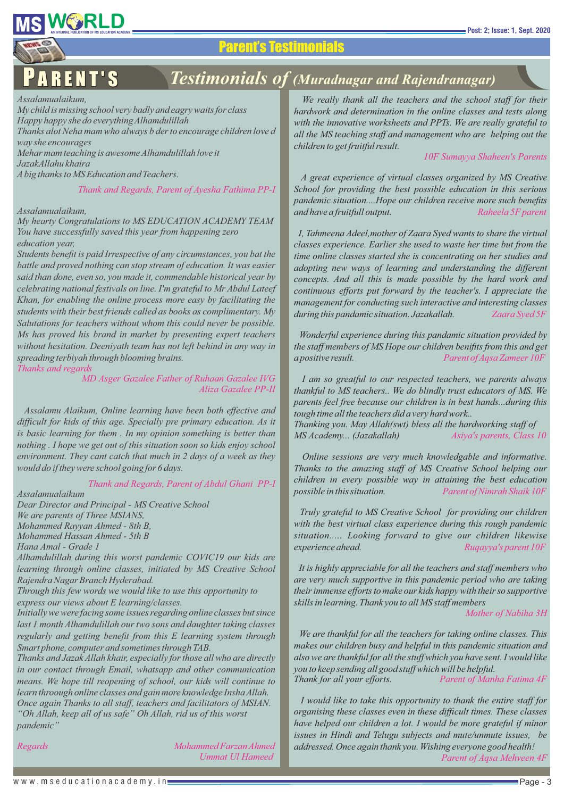# **WICH RESERVED BY AN RELATION ACADEMY**<br>AN INTERNAL PUBLICATION OF MS EDUCATION ACADEMY

## Parent's Testimonials

## P A R E N T ' S *Testimonials of (Muradnagar and Rajendranagar)*

*Assalamualaikum,*

*My child is missing school very badly and eagry waits for class Happy happy she do everything Alhamdulillah* 

*Thanks alot Neha mam who always b der to encourage children love d way she encourages* 

*Mehar mam teaching is awesome Alhamdulillah love it* 

*JazakAllahu khaira* 

*Abig thanks to MS Education and Teachers.*

#### *Thank and Regards, Parent of Ayesha Fathima PP-I*

#### *Assalamualaikum,*

*My hearty Congratulations to MS EDUCATION ACADEMY TEAM You have successfully saved this year from happening zero education year,*

*Students benefit is paid Irrespective of any circumstances, you bat the battle and proved nothing can stop stream of education. It was easier said than done, even so, you made it, commendable historical year by celebrating national festivals on line. I'm grateful to Mr Abdul Lateef Khan, for enabling the online process more easy by facilitating the students with their best friends called as books as complimentary. My Salutations for teachers without whom this could never be possible. Ms has proved his brand in market by presenting expert teachers without hesitation. Deeniyath team has not left behind in any way in spreading terbiyah through blooming brains.*

### *Thanks and regards*

*Aliza Gazalee PP-II MD Asger Gazalee Father of Ruhaan Gazalee IVG*

*Assalamu Alaikum, Online learning have been both effective and difficult for kids of this age. Specially pre primary education. As it is basic learning for them . In my opinion something is better than nothing . I hope we get out of this situation soon so kids enjoy school environment. They cant catch that much in 2 days of a week as they would do if they were school going for 6 days.*

*Thank and Regards, Parent of Abdul Ghani PP-I*

*Assalamualaikum*

*Mohammed Hassan Ahmed - 5th B Hana Amal - Grade 1 Dear Director and Principal - MS Creative School Mohammed Rayyan Ahmed - 8th B, We are parents of Three MSIANS,*

*Alhamdulillah during this worst pandemic COVIC19 our kids are learning through online classes, initiated by MS Creative School Rajendra Nagar Branch Hyderabad.*

*Through this few words we would like to use this opportunity to express our views about E learning/classes.*

*Initially we were facing some issues regarding online classes but since last 1 month Alhamdulillah our two sons and daughter taking classes regularly and getting benefit from this E learning system through Smart phone, computer and sometimes through TAB.*

*Once again Thanks to all staff, teachers and facilitators of MSIAN. Thanks and Jazak Allah khair, especially for those all who are directly in our contact through Email, whatsapp and other communication means. We hope till reopening of school, our kids will continue to learn throough online classes and gain more knowledge Insha Allah. "Oh Allah, keep all of us safe" Oh Allah, rid us of this worst pandemic"*

 *Ummat Ul Hameed Regards Mohammed Farzan Ahmed*

*We really thank all the teachers and the school staff for their hardwork and determination in the online classes and tests along with the innovative worksheets and PPTs. We are really grateful to all the MS teaching staff and management who are helping out the children to get fruitful result.*

*10F Sumayya Shaheen's Parents* 

*A great experience of virtual classes organized by MS Creative School for providing the best possible education in this serious pandemic situation....Hope our children receive more such benefits and have a fruitfull output. Raheela 5F parent*

*I, Tahmeena Adeel,mother of Zaara Syed wants to share the virtual classes experience. Earlier she used to waste her time but from the time online classes started she is concentrating on her studies and adopting new ways of learning and understanding the different concepts. And all this is made possible by the hard work and continuous efforts put forward by the teacher's. I appreciate the management for conducting such interactive and interesting classes during this pandamic situation. Jazakallah. Zaara Syed 5F*

*Wonderful experience during this pandamic situation provided by the staff members of MS Hope our children benifits from this and get a positive result. Parent of Aqsa Zameer 10F*

*Thanking you. May Allah(swt) bless all the hardworking staff of I am so greatful to our respected teachers, we parents always thankful to MS teachers.. We do blindly trust educators of MS. We parents feel free because our children is in best hands...during this tough time all the teachers did a very hard work..*

*MS Academy... (Jazakallah) Asiya's parents, Class 10*

*Online sessions are very much knowledgable and informative. Thanks to the amazing staff of MS Creative School helping our children in every possible way in attaining the best education possible in this situation. Parent of Nimrah Shaik 10F*

*Truly grateful to MS Creative School for providing our children with the best virtual class experience during this rough pandemic situation..... Looking forward to give our children likewise experience ahead. Ruqayya's parent 10F*

*It is highly appreciable for all the teachers and staff members who are very much supportive in this pandemic period who are taking their immense efforts to make our kids happy with their so supportive skills in learning. Thank you to all MS staff members*

*Mother of Nabiha 3H*

*We are thankful for all the teachers for taking online classes. This makes our children busy and helpful in this pandemic situation and also we are thankful for all the stuff which you have sent. I would like you to keep sending all good stuff which will be helpful. Thank for all your efforts. Parent of Manha Fatima 4F*

*Parent of Aqsa Mehveen 4F I would like to take this opportunity to thank the entire staff for organising these classes even in these difficult times. These classes have helped our children a lot. I would be more grateful if minor issues in Hindi and Telugu subjects and mute/unmute issues, be addressed. Once again thank you. Wishing everyone good health!*